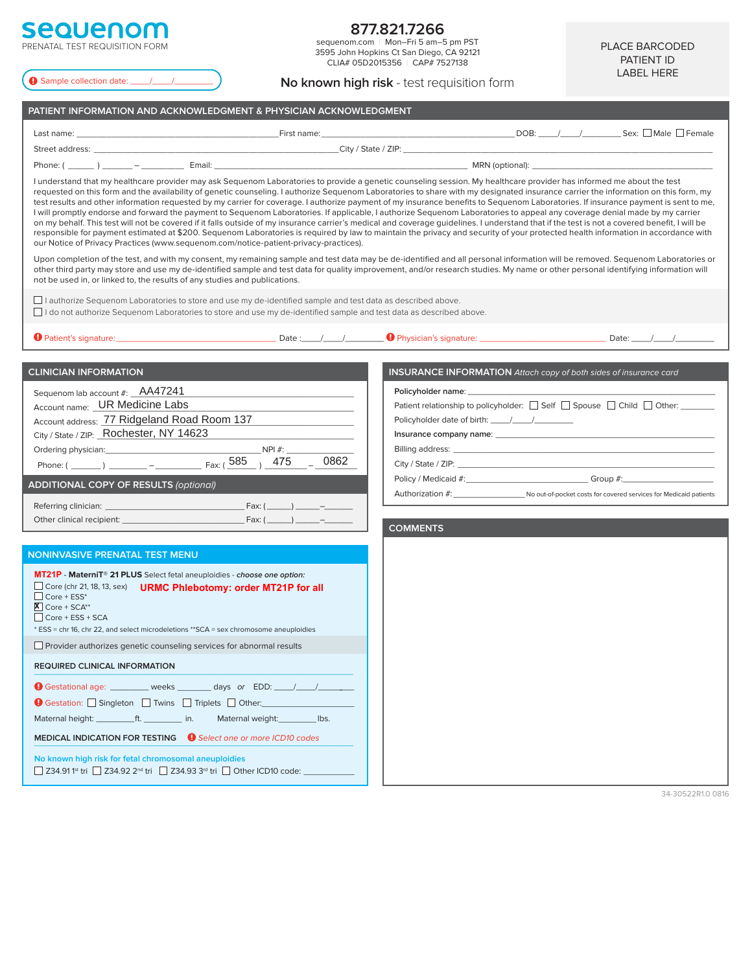# **sequenom** PRENATAL TEST REQUISITION FORM

Sample collection date: \_\_\_\_/\_\_\_\_/\_\_\_\_\_\_\_\_

# **877.821.7266**

sequenom.com | Mon–Fri 5 am–5 pm PST 3595 John Hopkins Ct San Diego, CA 92121 CLIA# 05D2015356 | CAP# 7527138

PLACE BARCODED PATIENT ID LABEL HERE

## **No known high risk** - test requisition form

| PATIENT INFORMATION AND ACKNOWLEDGMENT & PHYSICIAN ACKNOWLEDGMENT                                                                                                                                                                                                                                                                                                                                                                                                                                                                                                                                                                                                                                                                                                                                                                                                                                                                                                                                                                                                                                                                                                                                               |                                                                                                                      |  |  |  |
|-----------------------------------------------------------------------------------------------------------------------------------------------------------------------------------------------------------------------------------------------------------------------------------------------------------------------------------------------------------------------------------------------------------------------------------------------------------------------------------------------------------------------------------------------------------------------------------------------------------------------------------------------------------------------------------------------------------------------------------------------------------------------------------------------------------------------------------------------------------------------------------------------------------------------------------------------------------------------------------------------------------------------------------------------------------------------------------------------------------------------------------------------------------------------------------------------------------------|----------------------------------------------------------------------------------------------------------------------|--|--|--|
|                                                                                                                                                                                                                                                                                                                                                                                                                                                                                                                                                                                                                                                                                                                                                                                                                                                                                                                                                                                                                                                                                                                                                                                                                 |                                                                                                                      |  |  |  |
|                                                                                                                                                                                                                                                                                                                                                                                                                                                                                                                                                                                                                                                                                                                                                                                                                                                                                                                                                                                                                                                                                                                                                                                                                 |                                                                                                                      |  |  |  |
|                                                                                                                                                                                                                                                                                                                                                                                                                                                                                                                                                                                                                                                                                                                                                                                                                                                                                                                                                                                                                                                                                                                                                                                                                 |                                                                                                                      |  |  |  |
| I understand that my healthcare provider may ask Sequenom Laboratories to provide a genetic counseling session. My healthcare provider has informed me about the test<br>requested on this form and the availability of genetic counseling. I authorize Sequenom Laboratories to share with my designated insurance carrier the information on this form, my<br>test results and other information requested by my carrier for coverage. I authorize payment of my insurance benefits to Sequenom Laboratories. If insurance payment is sent to me,<br>I will promptly endorse and forward the payment to Sequenom Laboratories. If applicable, I authorize Sequenom Laboratories to appeal any coverage denial made by my carrier<br>on my behalf. This test will not be covered if it falls outside of my insurance carrier's medical and coverage quidelines. I understand that if the test is not a covered benefit, I will be<br>responsible for payment estimated at \$200. Sequenom Laboratories is required by law to maintain the privacy and security of your protected health information in accordance with<br>our Notice of Privacy Practices (www.sequenom.com/notice-patient-privacy-practices). |                                                                                                                      |  |  |  |
| Upon completion of the test, and with my consent, my remaining sample and test data may be de-identified and all personal information will be removed. Sequenom Laboratories or<br>other third party may store and use my de-identified sample and test data for quality improvement, and/or research studies. My name or other personal identifying information will<br>not be used in, or linked to, the results of any studies and publications.                                                                                                                                                                                                                                                                                                                                                                                                                                                                                                                                                                                                                                                                                                                                                             |                                                                                                                      |  |  |  |
| I authorize Sequenom Laboratories to store and use my de-identified sample and test data as described above.<br>I do not authorize Sequenom Laboratories to store and use my de-identified sample and test data as described above.                                                                                                                                                                                                                                                                                                                                                                                                                                                                                                                                                                                                                                                                                                                                                                                                                                                                                                                                                                             |                                                                                                                      |  |  |  |
|                                                                                                                                                                                                                                                                                                                                                                                                                                                                                                                                                                                                                                                                                                                                                                                                                                                                                                                                                                                                                                                                                                                                                                                                                 |                                                                                                                      |  |  |  |
| <b>CLINICIAN INFORMATION</b>                                                                                                                                                                                                                                                                                                                                                                                                                                                                                                                                                                                                                                                                                                                                                                                                                                                                                                                                                                                                                                                                                                                                                                                    | <b>INSURANCE INFORMATION</b> Attach copy of both sides of insurance card                                             |  |  |  |
| Sequenom lab account #: AA47241<br>Account name: UR Medicine Labs<br>Account address: 77 Ridgeland Road Room 137<br>City / State / ZIP: Rochester, NY 14623                                                                                                                                                                                                                                                                                                                                                                                                                                                                                                                                                                                                                                                                                                                                                                                                                                                                                                                                                                                                                                                     | Policyholder name: _______________<br>Patient relationship to policyholder: □ Self □ Spouse □ Child □ Other: _______ |  |  |  |
|                                                                                                                                                                                                                                                                                                                                                                                                                                                                                                                                                                                                                                                                                                                                                                                                                                                                                                                                                                                                                                                                                                                                                                                                                 |                                                                                                                      |  |  |  |
| <b>ADDITIONAL COPY OF RESULTS (optional)</b>                                                                                                                                                                                                                                                                                                                                                                                                                                                                                                                                                                                                                                                                                                                                                                                                                                                                                                                                                                                                                                                                                                                                                                    | Authorization #: No out-of-pocket costs for covered services for Medicaid patients                                   |  |  |  |
|                                                                                                                                                                                                                                                                                                                                                                                                                                                                                                                                                                                                                                                                                                                                                                                                                                                                                                                                                                                                                                                                                                                                                                                                                 | <b>COMMENTS</b>                                                                                                      |  |  |  |
|                                                                                                                                                                                                                                                                                                                                                                                                                                                                                                                                                                                                                                                                                                                                                                                                                                                                                                                                                                                                                                                                                                                                                                                                                 |                                                                                                                      |  |  |  |
| <b>NONINVASIVE PRENATAL TEST MENU</b>                                                                                                                                                                                                                                                                                                                                                                                                                                                                                                                                                                                                                                                                                                                                                                                                                                                                                                                                                                                                                                                                                                                                                                           |                                                                                                                      |  |  |  |
| MT21P - MaterniT® 21 PLUS Select fetal aneuploidies - choose one option:<br>Core (chr 21, 18, 13, sex) URMC Phlebotomy: order MT21P for all<br>$\Box$ Core + ESS*<br>$X$ Core + SCA <sup>**</sup><br>$\Box$ Core + ESS + SCA<br>* ESS = chr 16, chr 22, and select microdeletions ** SCA = sex chromosome aneuploidies                                                                                                                                                                                                                                                                                                                                                                                                                                                                                                                                                                                                                                                                                                                                                                                                                                                                                          |                                                                                                                      |  |  |  |
| $\Box$ Provider authorizes genetic counseling services for abnormal results                                                                                                                                                                                                                                                                                                                                                                                                                                                                                                                                                                                                                                                                                                                                                                                                                                                                                                                                                                                                                                                                                                                                     |                                                                                                                      |  |  |  |
| <b>REQUIRED CLINICAL INFORMATION</b>                                                                                                                                                                                                                                                                                                                                                                                                                                                                                                                                                                                                                                                                                                                                                                                                                                                                                                                                                                                                                                                                                                                                                                            |                                                                                                                      |  |  |  |
| $\bullet$ Gestational age: _________ weeks _______ days or EDD: ____/____/____<br><b>●</b> Gestation: Singleton Twins Triplets Other:<br>Maternal weight: _____________ lbs.<br><b>MEDICAL INDICATION FOR TESTING Q Select one or more ICD10 codes</b>                                                                                                                                                                                                                                                                                                                                                                                                                                                                                                                                                                                                                                                                                                                                                                                                                                                                                                                                                          |                                                                                                                      |  |  |  |
| No known high risk for fetal chromosomal aneuploidies<br>□ Z34.91 1 <sup>st</sup> tri □ Z34.92 2 <sup>nd</sup> tri □ Z34.93 3 <sup>rd</sup> tri □ Other ICD10 code:                                                                                                                                                                                                                                                                                                                                                                                                                                                                                                                                                                                                                                                                                                                                                                                                                                                                                                                                                                                                                                             |                                                                                                                      |  |  |  |

34-30522R1.0 0816